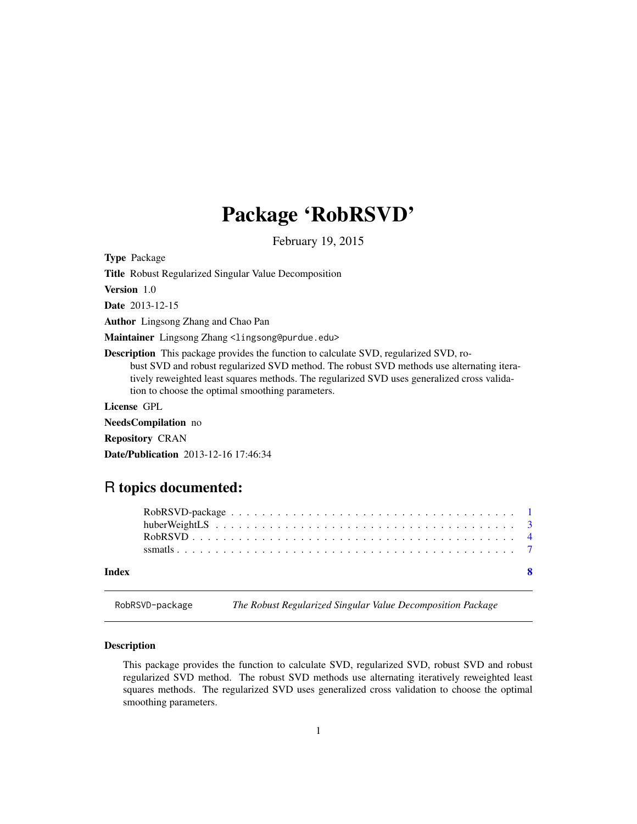# <span id="page-0-0"></span>Package 'RobRSVD'

February 19, 2015

<span id="page-0-1"></span>Type Package

Title Robust Regularized Singular Value Decomposition

Version 1.0

Date 2013-12-15

Author Lingsong Zhang and Chao Pan

Maintainer Lingsong Zhang <lingsong@purdue.edu>

Description This package provides the function to calculate SVD, regularized SVD, robust SVD and robust regularized SVD method. The robust SVD methods use alternating iteratively reweighted least squares methods. The regularized SVD uses generalized cross validation to choose the optimal smoothing parameters.

License GPL

NeedsCompilation no

Repository CRAN

Date/Publication 2013-12-16 17:46:34

# R topics documented:

| Index |  |  |  |  |  |  |  |  |  |  |  |  |  |  |  |  |  |
|-------|--|--|--|--|--|--|--|--|--|--|--|--|--|--|--|--|--|
|       |  |  |  |  |  |  |  |  |  |  |  |  |  |  |  |  |  |
|       |  |  |  |  |  |  |  |  |  |  |  |  |  |  |  |  |  |
|       |  |  |  |  |  |  |  |  |  |  |  |  |  |  |  |  |  |
|       |  |  |  |  |  |  |  |  |  |  |  |  |  |  |  |  |  |

RobRSVD-package *The Robust Regularized Singular Value Decomposition Package*

# Description

This package provides the function to calculate SVD, regularized SVD, robust SVD and robust regularized SVD method. The robust SVD methods use alternating iteratively reweighted least squares methods. The regularized SVD uses generalized cross validation to choose the optimal smoothing parameters.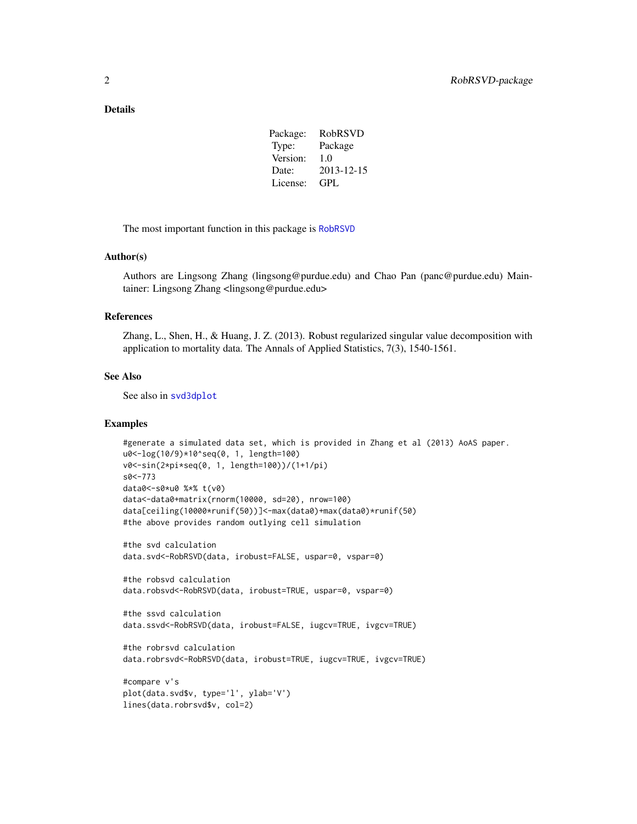# <span id="page-1-0"></span>Details

| Package: | RobRSVD    |
|----------|------------|
| Type:    | Package    |
| Version: | 1.0        |
| Date:    | 2013-12-15 |
| License: | GPL.       |

The most important function in this package is [RobRSVD](#page-3-1)

# Author(s)

Authors are Lingsong Zhang (lingsong@purdue.edu) and Chao Pan (panc@purdue.edu) Maintainer: Lingsong Zhang <lingsong@purdue.edu>

# References

Zhang, L., Shen, H., & Huang, J. Z. (2013). Robust regularized singular value decomposition with application to mortality data. The Annals of Applied Statistics, 7(3), 1540-1561.

# See Also

See also in [svd3dplot](#page-0-1)

# Examples

```
#generate a simulated data set, which is provided in Zhang et al (2013) AoAS paper.
u0<-log(10/9)*10^seq(0, 1, length=100)
v0<-sin(2*pi*seq(0, 1, length=100))/(1+1/pi)
s0<-773
data0<-s0*u0 %*% t(v0)
data<-data0+matrix(rnorm(10000, sd=20), nrow=100)
data[ceiling(10000*runif(50))]<-max(data0)+max(data0)*runif(50)
#the above provides random outlying cell simulation
#the svd calculation
data.svd<-RobRSVD(data, irobust=FALSE, uspar=0, vspar=0)
#the robsvd calculation
data.robsvd<-RobRSVD(data, irobust=TRUE, uspar=0, vspar=0)
#the ssvd calculation
data.ssvd<-RobRSVD(data, irobust=FALSE, iugcv=TRUE, ivgcv=TRUE)
#the robrsvd calculation
data.robrsvd<-RobRSVD(data, irobust=TRUE, iugcv=TRUE, ivgcv=TRUE)
#compare v's
plot(data.svd$v, type='l', ylab='V')
lines(data.robrsvd$v, col=2)
```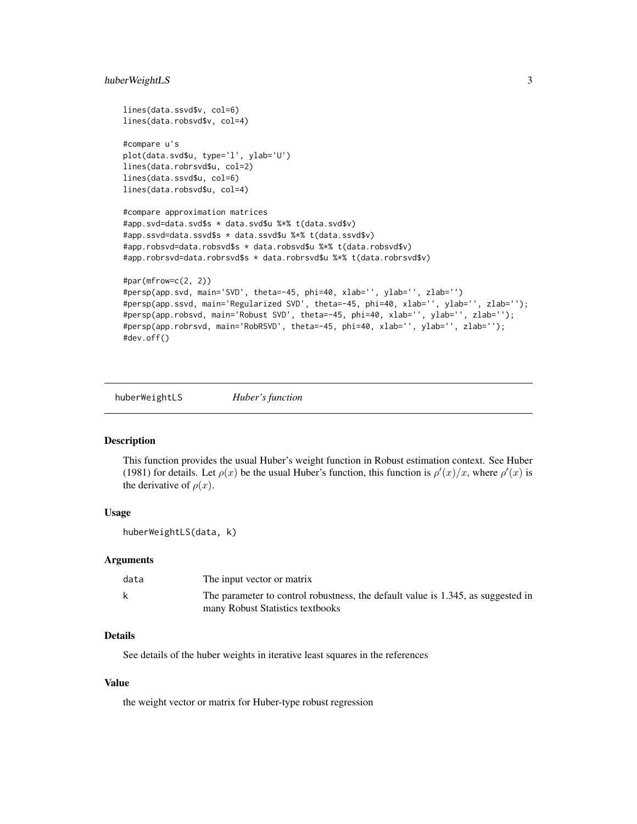# <span id="page-2-0"></span>huberWeightLS 3

```
lines(data.ssvd$v, col=6)
lines(data.robsvd$v, col=4)
#compare u's
plot(data.svd$u, type='l', ylab='U')
lines(data.robrsvd$u, col=2)
lines(data.ssvd$u, col=6)
lines(data.robsvd$u, col=4)
#compare approximation matrices
#app.svd=data.svd$s * data.svd$u %*% t(data.svd$v)
#app.ssvd=data.ssvd$s * data.ssvd$u %*% t(data.ssvd$v)
#app.robsvd=data.robsvd$s * data.robsvd$u %*% t(data.robsvd$v)
#app.robrsvd=data.robrsvd$s * data.robrsvd$u %*% t(data.robrsvd$v)
#par(mfrow=c(2, 2))
#persp(app.svd, main='SVD', theta=-45, phi=40, xlab='', ylab='', zlab='')
#persp(app.ssvd, main='Regularized SVD', theta=-45, phi=40, xlab='', ylab='', zlab='');
#persp(app.robsvd, main='Robust SVD', theta=-45, phi=40, xlab='', ylab='', zlab='');
#persp(app.robrsvd, main='RobRSVD', theta=-45, phi=40, xlab='', ylab='', zlab='');
#dev.off()
```
huberWeightLS *Huber's function*

# Description

This function provides the usual Huber's weight function in Robust estimation context. See Huber (1981) for details. Let  $\rho(x)$  be the usual Huber's function, this function is  $\rho'(x)/x$ , where  $\rho'(x)$  is the derivative of  $\rho(x)$ .

### Usage

huberWeightLS(data, k)

#### Arguments

| data | The input vector or matrix                                                                                           |
|------|----------------------------------------------------------------------------------------------------------------------|
| k    | The parameter to control robustness, the default value is 1.345, as suggested in<br>many Robust Statistics textbooks |

# Details

See details of the huber weights in iterative least squares in the references

# Value

the weight vector or matrix for Huber-type robust regression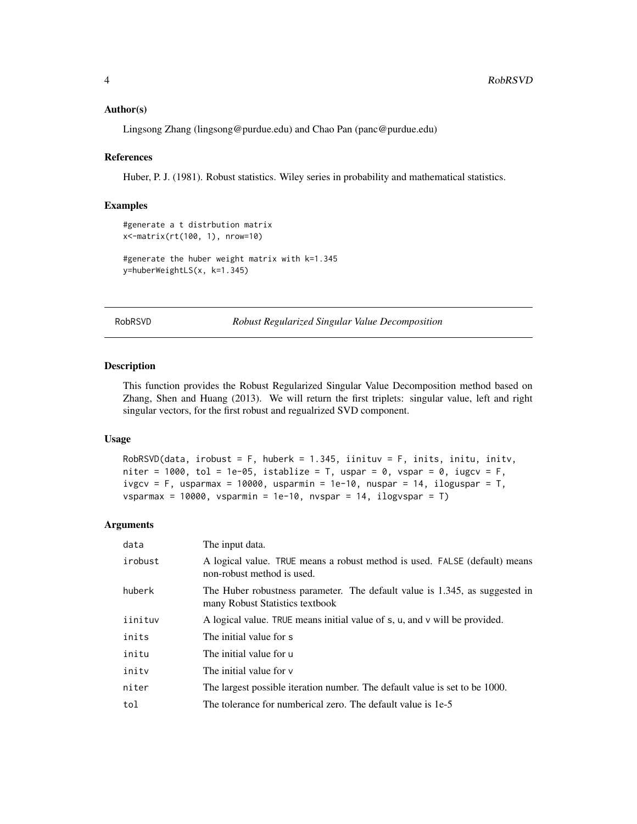# <span id="page-3-0"></span>Author(s)

Lingsong Zhang (lingsong@purdue.edu) and Chao Pan (panc@purdue.edu)

#### References

Huber, P. J. (1981). Robust statistics. Wiley series in probability and mathematical statistics.

# Examples

```
#generate a t distrbution matrix
x<-matrix(rt(100, 1), nrow=10)
```
#generate the huber weight matrix with k=1.345 y=huberWeightLS(x, k=1.345)

<span id="page-3-1"></span>

RobRSVD *Robust Regularized Singular Value Decomposition*

# Description

This function provides the Robust Regularized Singular Value Decomposition method based on Zhang, Shen and Huang (2013). We will return the first triplets: singular value, left and right singular vectors, for the first robust and regualrized SVD component.

# Usage

```
RobRSVD(data, irobust = F, huberk = 1.345, iinituv = F, inits, initu, initv,
niter = 1000, tol = 1e-05, istablize = T, uspar = 0, vspar = 0, iugcv = F,
ivgcv = F, usparmax = 10000, usparmin = 1e-10, nuspar = 14, iloguspar = T,
vsparmax = 10000, vsparmin = 1e-10, nvspar = 14, ilogvspar = T)
```
#### Arguments

| data    | The input data.                                                                                                |
|---------|----------------------------------------------------------------------------------------------------------------|
| irobust | A logical value. TRUE means a robust method is used. FALSE (default) means<br>non-robust method is used.       |
| huberk  | The Huber robustness parameter. The default value is 1.345, as suggested in<br>many Robust Statistics textbook |
| iinituv | A logical value. TRUE means initial value of s, u, and v will be provided.                                     |
| inits   | The initial value for s                                                                                        |
| initu   | The initial value for u                                                                                        |
| inity   | The initial value for y                                                                                        |
| niter   | The largest possible iteration number. The default value is set to be 1000.                                    |
| tol     | The tolerance for numberical zero. The default value is 1e-5                                                   |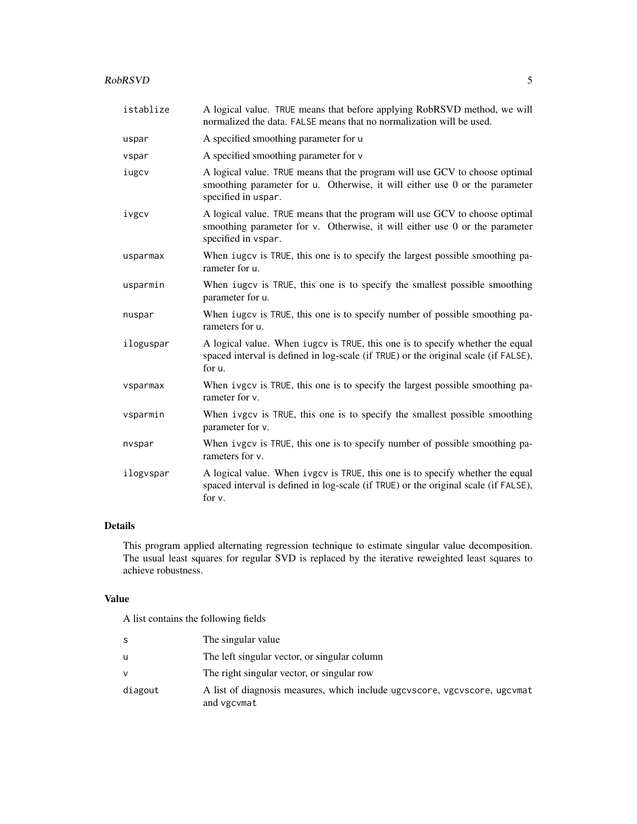| RobRSVD |  |
|---------|--|
|         |  |

| istablize | A logical value. TRUE means that before applying RobRSVD method, we will<br>normalized the data. FALSE means that no normalization will be used.                                  |
|-----------|-----------------------------------------------------------------------------------------------------------------------------------------------------------------------------------|
| uspar     | A specified smoothing parameter for u                                                                                                                                             |
| vspar     | A specified smoothing parameter for v                                                                                                                                             |
| iugcv     | A logical value. TRUE means that the program will use GCV to choose optimal<br>smoothing parameter for u. Otherwise, it will either use 0 or the parameter<br>specified in uspar. |
| ivgcv     | A logical value. TRUE means that the program will use GCV to choose optimal<br>smoothing parameter for v. Otherwise, it will either use 0 or the parameter<br>specified in vspar. |
| usparmax  | When iugcv is TRUE, this one is to specify the largest possible smoothing pa-<br>rameter for u.                                                                                   |
| usparmin  | When iugcv is TRUE, this one is to specify the smallest possible smoothing<br>parameter for u.                                                                                    |
| nuspar    | When iugcv is TRUE, this one is to specify number of possible smoothing pa-<br>rameters for u.                                                                                    |
| iloguspar | A logical value. When iugcv is TRUE, this one is to specify whether the equal<br>spaced interval is defined in log-scale (if TRUE) or the original scale (if FALSE),<br>for u.    |
| vsparmax  | When ivgcv is TRUE, this one is to specify the largest possible smoothing pa-<br>rameter for v.                                                                                   |
| vsparmin  | When ivgcv is TRUE, this one is to specify the smallest possible smoothing<br>parameter for v.                                                                                    |
| nvspar    | When ivgcv is TRUE, this one is to specify number of possible smoothing pa-<br>rameters for v.                                                                                    |
| ilogvspar | A logical value. When ivgcv is TRUE, this one is to specify whether the equal<br>spaced interval is defined in log-scale (if TRUE) or the original scale (if FALSE),<br>for v.    |

# Details

This program applied alternating regression technique to estimate singular value decomposition. The usual least squares for regular SVD is replaced by the iterative reweighted least squares to achieve robustness.

# Value

A list contains the following fields

| S       | The singular value                                                                       |
|---------|------------------------------------------------------------------------------------------|
| u       | The left singular vector, or singular column                                             |
| ν       | The right singular vector, or singular row                                               |
| diagout | A list of diagnosis measures, which include ugcvscore, vgcvscore, ugcvmat<br>and vgcvmat |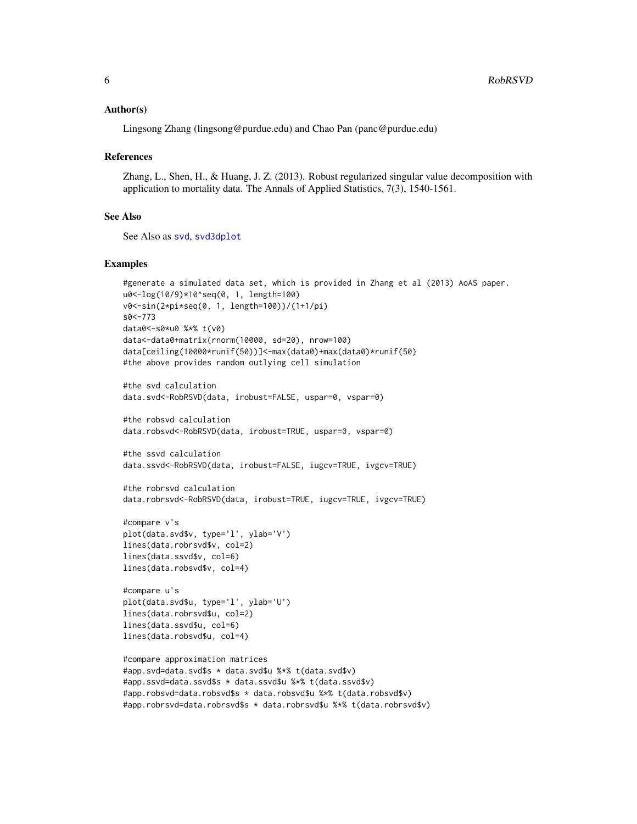# <span id="page-5-0"></span>Author(s)

Lingsong Zhang (lingsong@purdue.edu) and Chao Pan (panc@purdue.edu)

#### References

Zhang, L., Shen, H., & Huang, J. Z. (2013). Robust regularized singular value decomposition with application to mortality data. The Annals of Applied Statistics, 7(3), 1540-1561.

### See Also

See Also as [svd](#page-0-1), [svd3dplot](#page-0-1)

#### Examples

```
#generate a simulated data set, which is provided in Zhang et al (2013) AoAS paper.
u0<-log(10/9)*10^seq(0, 1, length=100)
v0<-sin(2*pi*seq(0, 1, length=100))/(1+1/pi)
s0<-773
data0<-s0*u0 %*% t(v0)
data<-data0+matrix(rnorm(10000, sd=20), nrow=100)
data[ceiling(10000*runif(50))]<-max(data0)+max(data0)*runif(50)
#the above provides random outlying cell simulation
#the svd calculation
data.svd<-RobRSVD(data, irobust=FALSE, uspar=0, vspar=0)
#the robsvd calculation
data.robsvd<-RobRSVD(data, irobust=TRUE, uspar=0, vspar=0)
#the ssvd calculation
data.ssvd<-RobRSVD(data, irobust=FALSE, iugcv=TRUE, ivgcv=TRUE)
#the robrsvd calculation
data.robrsvd<-RobRSVD(data, irobust=TRUE, iugcv=TRUE, ivgcv=TRUE)
#compare v's
plot(data.svd$v, type='l', ylab='V')
lines(data.robrsvd$v, col=2)
lines(data.ssvd$v, col=6)
lines(data.robsvd$v, col=4)
#compare u's
plot(data.svd$u, type='l', ylab='U')
lines(data.robrsvd$u, col=2)
lines(data.ssvd$u, col=6)
```

```
lines(data.robsvd$u, col=4)
```

```
#compare approximation matrices
#app.svd=data.svd$s * data.svd$u %*% t(data.svd$v)
#app.ssvd=data.ssvd$s * data.ssvd$u %*% t(data.ssvd$v)
#app.robsvd=data.robsvd$s * data.robsvd$u %*% t(data.robsvd$v)
#app.robrsvd=data.robrsvd$s * data.robrsvd$u %*% t(data.robrsvd$v)
```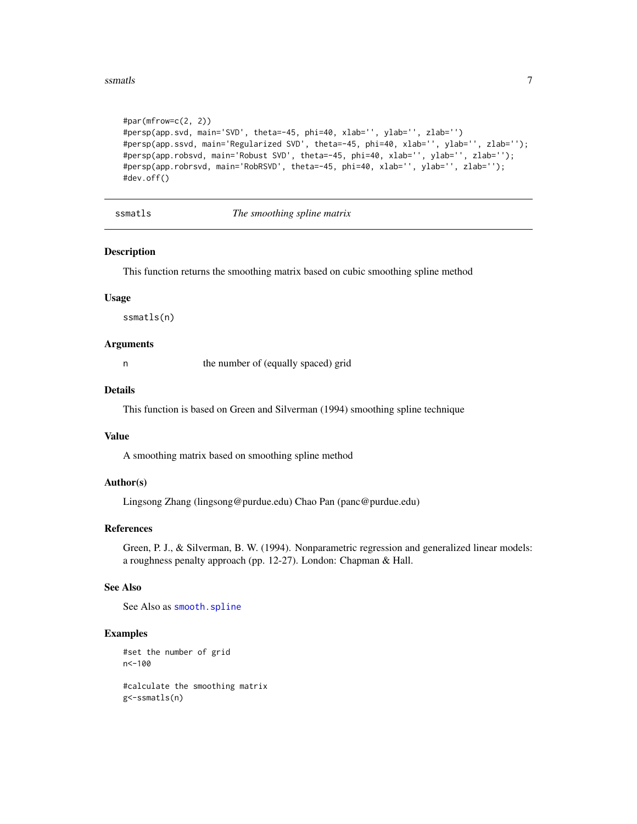#### <span id="page-6-0"></span> $s$ ssmatls  $\sim$  7

```
#par(mfrow=c(2, 2))
#persp(app.svd, main='SVD', theta=-45, phi=40, xlab='', ylab='', zlab='')
#persp(app.ssvd, main='Regularized SVD', theta=-45, phi=40, xlab='', ylab='', zlab='');
#persp(app.robsvd, main='Robust SVD', theta=-45, phi=40, xlab='', ylab='', zlab='');
#persp(app.robrsvd, main='RobRSVD', theta=-45, phi=40, xlab='', ylab='', zlab='');
#dev.off()
```
# ssmatls *The smoothing spline matrix*

# Description

This function returns the smoothing matrix based on cubic smoothing spline method

#### Usage

ssmatls(n)

### Arguments

n the number of (equally spaced) grid

### Details

This function is based on Green and Silverman (1994) smoothing spline technique

#### Value

A smoothing matrix based on smoothing spline method

# Author(s)

Lingsong Zhang (lingsong@purdue.edu) Chao Pan (panc@purdue.edu)

# References

Green, P. J., & Silverman, B. W. (1994). Nonparametric regression and generalized linear models: a roughness penalty approach (pp. 12-27). London: Chapman & Hall.

#### See Also

See Also as [smooth.spline](#page-0-1)

# Examples

```
#set the number of grid
n<-100
#calculate the smoothing matrix
g<-ssmatls(n)
```